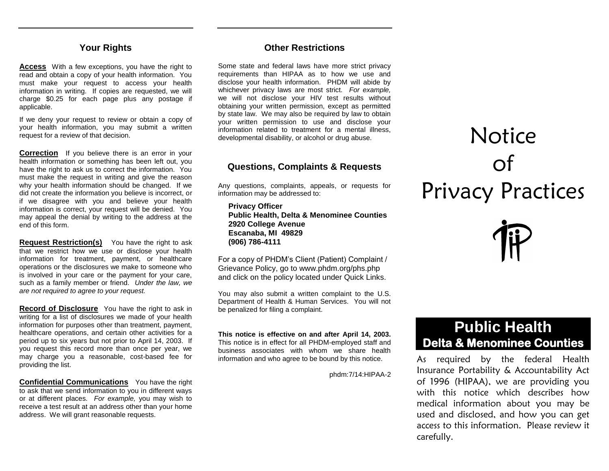## **Your Rights**

**Access** With a few exceptions, you have the right to read and obtain a copy of your health information. You must make your request to access your health information in writing. If copies are requested, we will charge \$0.25 for each page plus any postage if applicable.

If we deny your request to review or obtain a copy of your health information, you may submit a written request for a review of that decision.

**Correction** If you believe there is an error in your health information or something has been left out, you have the right to ask us to correct the information. You must make the request in writing and give the reason why your health information should be changed. If we did not create the information you believe is incorrect, or if we disagree with you and believe your health information is correct, your request will be denied. You may appeal the denial by writing to the address at the end of this form.

**Request Restriction(s)** You have the right to ask that we restrict how we use or disclose your health information for treatment, payment, or healthcare operations or the disclosures we make to someone who is involved in your care or the payment for your care, such as a family member or friend. *Under the law, we are not required to agree to your request.*

**Record of Disclosure** You have the right to ask in writing for a list of disclosures we made of your health information for purposes other than treatment, payment, healthcare operations, and certain other activities for a period up to six years but not prior to April 14, 2003. If you request this record more than once per year, we may charge you a reasonable, cost-based fee for providing the list.

**Confidential Communications** You have the right to ask that we send information to you in different ways or at different places. *For example,* you may wish to receive a test result at an address other than your home address. We will grant reasonable requests.

### **Other Restrictions**

Some state and federal laws have more strict privacy requirements than HIPAA as to how we use and disclose your health information. PHDM will abide by whichever privacy laws are most strict. *For example,*  we will not disclose your HIV test results without obtaining your written permission, except as permitted by state law. We may also be required by law to obtain your written permission to use and disclose your information related to treatment for a mental illness, developmental disability, or alcohol or drug abuse.

## **Questions, Complaints & Requests**

Any questions, complaints, appeals, or requests for information may be addressed to:

**Privacy Officer Public Health, Delta & Menominee Counties 2920 College Avenue Escanaba, MI 49829 (906) 786-4111**

For a copy of PHDM's Client (Patient) Complaint / Grievance Policy, go to www.phdm.org/phs.php and click on the policy located under Quick Links.

You may also submit a written complaint to the U.S. Department of Health & Human Services. You will not be penalized for filing a complaint.

**This notice is effective on and after April 14, 2003.** This notice is in effect for all PHDM-employed staff and business associates with whom we share health information and who agree to be bound by this notice.

phdm:7/14:HIPAA-2

# **Notice** of Privacy Practices



# **Public Health Delta & Menominee Counties**

As required by the federal Health Insurance Portability & Accountability Act of 1996 (HIPAA), we are providing you with this notice which describes how medical information about you may be used and disclosed, and how you can get access to this information. Please review it carefully.